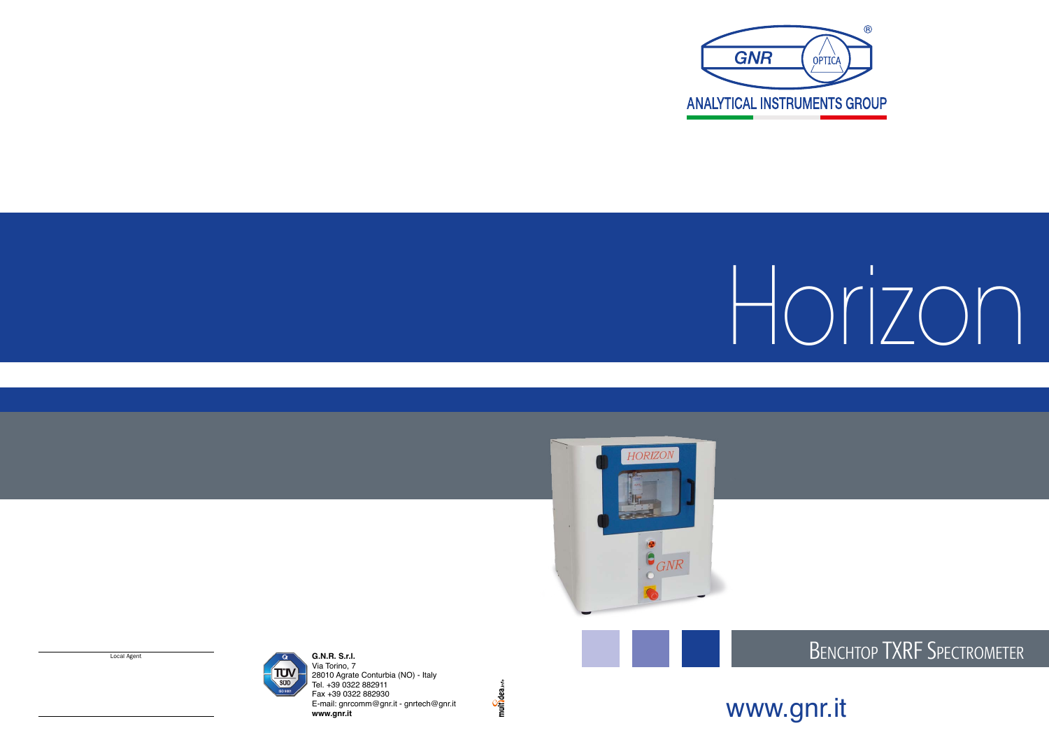







# Benchtop TXRF Spectrometer





Via Torino, 7 28010 Agrate Conturbia (NO) - Italy Tel. +39 0322 882911 Fax +39 0322 882930 E-mail: gnrcomm@gnr.it - gnrtech@gnr.it **www.gnr.it**

multidea.info

Local Agent